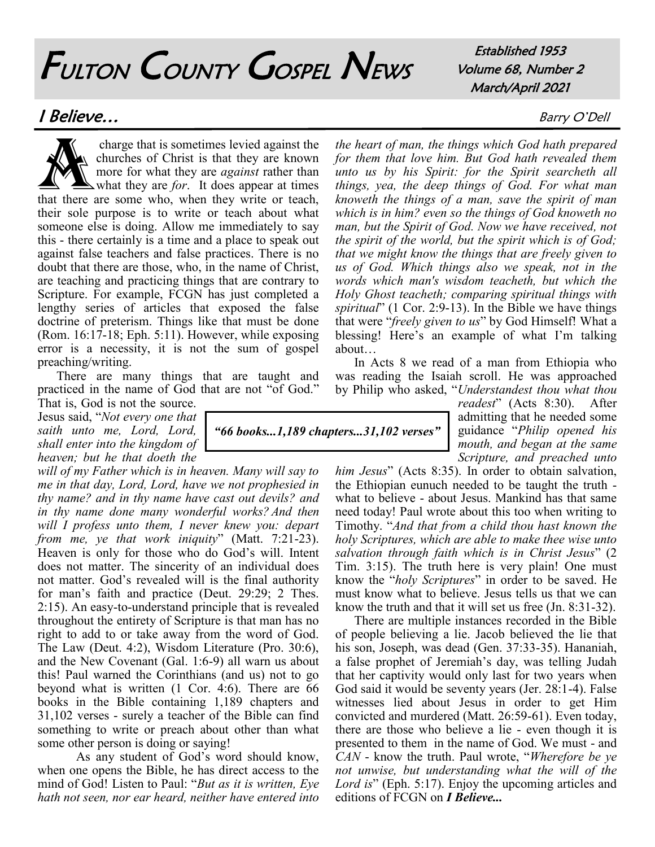# FULTON COUNTY GOSPEL NEWS

Established 1953 Volume 68, Number 2 March/April 2021

### **I Believe...** Barry O'Dell

charge that is sometimes levied against the<br>churches of Christ is that they are known<br>more for what they are *against* rather than<br>that there are some who, when they write or teach, charge that is sometimes levied against the churches of Christ is that they are known more for what they are *against* rather than what they are *for*. It does appear at times their sole purpose is to write or teach about what someone else is doing. Allow me immediately to say this - there certainly is a time and a place to speak out against false teachers and false practices. There is no doubt that there are those, who, in the name of Christ, are teaching and practicing things that are contrary to Scripture. For example, FCGN has just completed a lengthy series of articles that exposed the false doctrine of preterism. Things like that must be done (Rom. 16:17-18; Eph. 5:11). However, while exposing error is a necessity, it is not the sum of gospel preaching/writing.

There are many things that are taught and practiced in the name of God that are not "of God."

That is, God is not the source. Jesus said, "*Not every one that saith unto me, Lord, Lord, shall enter into the kingdom of heaven; but he that doeth the* 

*will of my Father which is in heaven. Many will say to me in that day, Lord, Lord, have we not prophesied in thy name? and in thy name have cast out devils? and in thy name done many wonderful works? And then will I profess unto them, I never knew you: depart from me, ye that work iniquity*" (Matt. 7:21-23). Heaven is only for those who do God's will. Intent does not matter. The sincerity of an individual does not matter. God's revealed will is the final authority for man's faith and practice (Deut. 29:29; 2 Thes. 2:15). An easy-to-understand principle that is revealed throughout the entirety of Scripture is that man has no right to add to or take away from the word of God. The Law (Deut. 4:2), Wisdom Literature (Pro. 30:6), and the New Covenant (Gal. 1:6-9) all warn us about this! Paul warned the Corinthians (and us) not to go beyond what is written (1 Cor. 4:6). There are 66 books in the Bible containing 1,189 chapters and 31,102 verses - surely a teacher of the Bible can find something to write or preach about other than what some other person is doing or saying!

As any student of God's word should know, when one opens the Bible, he has direct access to the mind of God! Listen to Paul: "*But as it is written, Eye hath not seen, nor ear heard, neither have entered into* 

*the heart of man, the things which God hath prepared for them that love him. But God hath revealed them unto us by his Spirit: for the Spirit searcheth all things, yea, the deep things of God. For what man knoweth the things of a man, save the spirit of man which is in him? even so the things of God knoweth no man, but the Spirit of God. Now we have received, not the spirit of the world, but the spirit which is of God; that we might know the things that are freely given to us of God. Which things also we speak, not in the words which man's wisdom teacheth, but which the Holy Ghost teacheth; comparing spiritual things with spiritual*" (1 Cor. 2:9-13). In the Bible we have things that were "*freely given to us*" by God Himself! What a blessing! Here's an example of what I'm talking about…

In Acts 8 we read of a man from Ethiopia who was reading the Isaiah scroll. He was approached by Philip who asked, "*Understandest thou what thou* 

*readest*" (Acts 8:30). After admitting that he needed some guidance "*Philip opened his mouth, and began at the same Scripture, and preached unto* 

*him Jesus*" (Acts 8:35). In order to obtain salvation, the Ethiopian eunuch needed to be taught the truth what to believe - about Jesus. Mankind has that same need today! Paul wrote about this too when writing to Timothy. "*And that from a child thou hast known the holy Scriptures, which are able to make thee wise unto salvation through faith which is in Christ Jesus*" (2 Tim. 3:15). The truth here is very plain! One must know the "*holy Scriptures*" in order to be saved. He must know what to believe. Jesus tells us that we can know the truth and that it will set us free (Jn. 8:31-32).

There are multiple instances recorded in the Bible of people believing a lie. Jacob believed the lie that his son, Joseph, was dead (Gen. 37:33-35). Hananiah, a false prophet of Jeremiah's day, was telling Judah that her captivity would only last for two years when God said it would be seventy years (Jer. 28:1-4). False witnesses lied about Jesus in order to get Him convicted and murdered (Matt. 26:59-61). Even today, there are those who believe a lie - even though it is presented to them in the name of God. We must - and *CAN* - know the truth. Paul wrote, "*Wherefore be ye not unwise, but understanding what the will of the Lord is*" (Eph. 5:17). Enjoy the upcoming articles and editions of FCGN on *I Believe...*

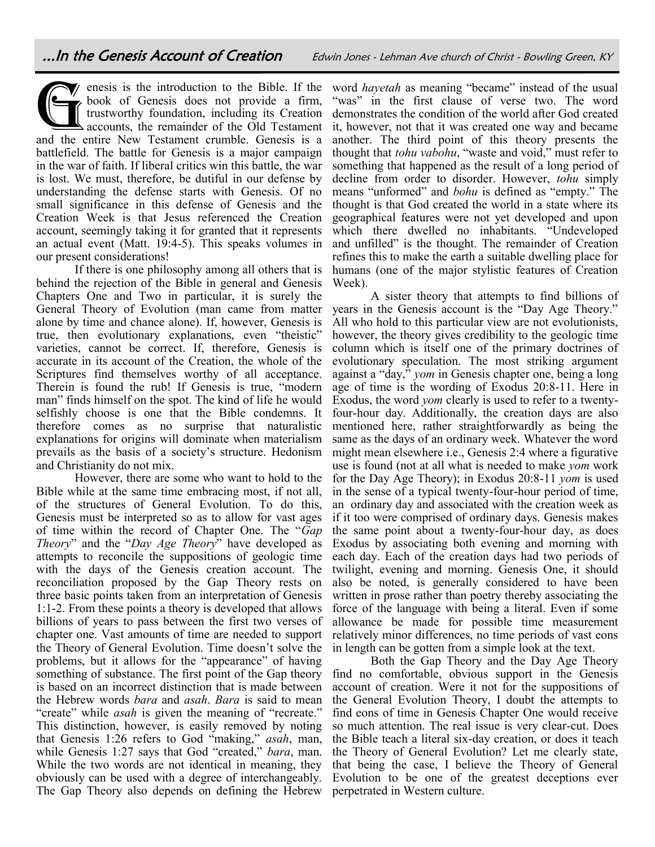enesis is the introduction to the Bible. If the book of Genesis does not provide a firm, trustworthy foundation, including its Creation accounts, the remainder of the Old Testament and the entire New Testament crumble. Gen  $\blacktriangledown$  enesis is the introduction to the Bible. If the book of Genesis does not provide a firm, trustworthy foundation, including its Creation accounts, the remainder of the Old Testament battlefield. The battle for Genesis is a major campaign in the war of faith. If liberal critics win this battle, the war is lost. We must, therefore, be dutiful in our defense by understanding the defense starts with Genesis. Of no small significance in this defense of Genesis and the Creation Week is that Jesus referenced the Creation account, seemingly taking it for granted that it represents an actual event (Matt. 19:4-5). This speaks volumes in our present considerations!

If there is one philosophy among all others that is behind the rejection of the Bible in general and Genesis Chapters One and Two in particular, it is surely the General Theory of Evolution (man came from matter alone by time and chance alone). If, however, Genesis is true, then evolutionary explanations, even "theistic" varieties, cannot be correct. If, therefore, Genesis is accurate in its account of the Creation, the whole of the Scriptures find themselves worthy of all acceptance. Therein is found the rub! If Genesis is true, "modern man" finds himself on the spot. The kind of life he would selfishly choose is one that the Bible condemns. It therefore comes as no surprise that naturalistic explanations for origins will dominate when materialism prevails as the basis of a society's structure. Hedonism and Christianity do not mix.

However, there are some who want to hold to the Bible while at the same time embracing most, if not all, of the structures of General Evolution. To do this, Genesis must be interpreted so as to allow for vast ages of time within the record of Chapter One. The "*Gap Theory*" and the "*Day Age Theory*" have developed as attempts to reconcile the suppositions of geologic time with the days of the Genesis creation account. The reconciliation proposed by the Gap Theory rests on three basic points taken from an interpretation of Genesis 1:1-2. From these points a theory is developed that allows billions of years to pass between the first two verses of chapter one. Vast amounts of time are needed to support the Theory of General Evolution. Time doesn't solve the problems, but it allows for the "appearance" of having something of substance. The first point of the Gap theory is based on an incorrect distinction that is made between the Hebrew words *bara* and *asah*. *Bara* is said to mean "create" while *asah* is given the meaning of "recreate." This distinction, however, is easily removed by noting that Genesis 1:26 refers to God "making," *asah*, man, while Genesis 1:27 says that God "created," *bara*, man. While the two words are not identical in meaning, they obviously can be used with a degree of interchangeably. The Gap Theory also depends on defining the Hebrew

word *hayetah* as meaning "became" instead of the usual "was" in the first clause of verse two. The word demonstrates the condition of the world after God created it, however, not that it was created one way and became another. The third point of this theory presents the thought that *tohu vabohu*, "waste and void," must refer to something that happened as the result of a long period of decline from order to disorder. However, *tohu* simply means "unformed" and *bohu* is defined as "empty." The thought is that God created the world in a state where its geographical features were not yet developed and upon which there dwelled no inhabitants. "Undeveloped and unfilled" is the thought. The remainder of Creation refines this to make the earth a suitable dwelling place for humans (one of the major stylistic features of Creation Week).

A sister theory that attempts to find billions of years in the Genesis account is the "Day Age Theory." All who hold to this particular view are not evolutionists, however, the theory gives credibility to the geologic time column which is itself one of the primary doctrines of evolutionary speculation. The most striking argument against a "day," *yom* in Genesis chapter one, being a long age of time is the wording of Exodus 20:8-11. Here in Exodus, the word *yom* clearly is used to refer to a twentyfour-hour day. Additionally, the creation days are also mentioned here, rather straightforwardly as being the same as the days of an ordinary week. Whatever the word might mean elsewhere i.e., Genesis 2:4 where a figurative use is found (not at all what is needed to make *yom* work for the Day Age Theory); in Exodus 20:8-11 *yom* is used in the sense of a typical twenty-four-hour period of time, an ordinary day and associated with the creation week as if it too were comprised of ordinary days. Genesis makes the same point about a twenty-four-hour day, as does Exodus by associating both evening and morning with each day. Each of the creation days had two periods of twilight, evening and morning. Genesis One, it should also be noted, is generally considered to have been written in prose rather than poetry thereby associating the force of the language with being a literal. Even if some allowance be made for possible time measurement relatively minor differences, no time periods of vast eons in length can be gotten from a simple look at the text.

Both the Gap Theory and the Day Age Theory find no comfortable, obvious support in the Genesis account of creation. Were it not for the suppositions of the General Evolution Theory, I doubt the attempts to find eons of time in Genesis Chapter One would receive so much attention. The real issue is very clear-cut. Does the Bible teach a literal six-day creation, or does it teach the Theory of General Evolution? Let me clearly state, that being the case, I believe the Theory of General Evolution to be one of the greatest deceptions ever perpetrated in Western culture.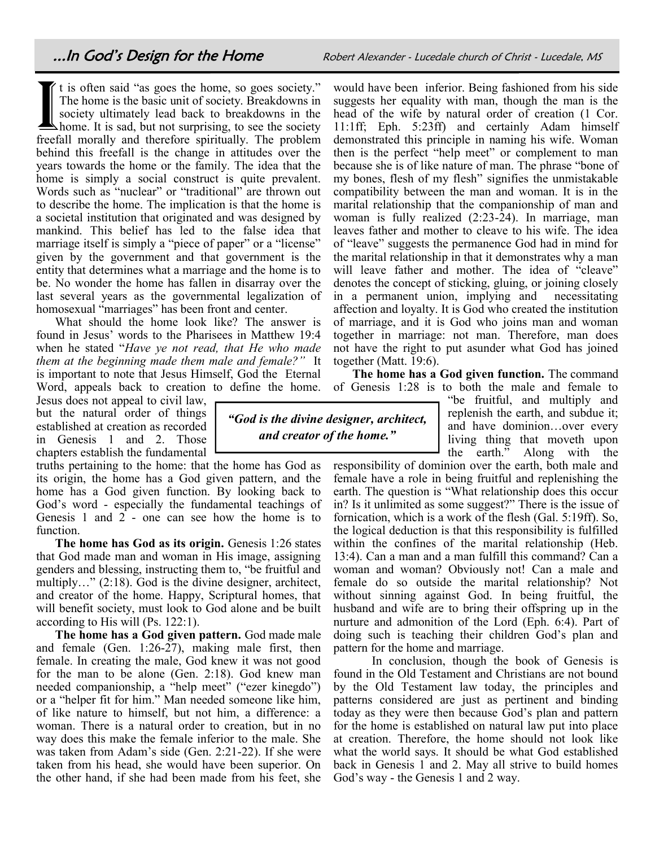...In God's Design for the Home **Robert Alexander - Lucedale church of Christ** - Lucedale, MS

If the said "as goes the home, so goes society."<br>The home is the basic unit of society. Breakdowns in<br>society ultimately lead back to breakdowns in the<br>home. It is sad, but not surprising, to see the society<br>freefall moral t is often said "as goes the home, so goes society." The home is the basic unit of society. Breakdowns in society ultimately lead back to breakdowns in the  $\blacktriangle$  home. It is sad, but not surprising, to see the society behind this freefall is the change in attitudes over the years towards the home or the family. The idea that the home is simply a social construct is quite prevalent. Words such as "nuclear" or "traditional" are thrown out to describe the home. The implication is that the home is a societal institution that originated and was designed by mankind. This belief has led to the false idea that marriage itself is simply a "piece of paper" or a "license" given by the government and that government is the entity that determines what a marriage and the home is to be. No wonder the home has fallen in disarray over the last several years as the governmental legalization of homosexual "marriages" has been front and center.

What should the home look like? The answer is found in Jesus' words to the Pharisees in Matthew 19:4 when he stated "*Have ye not read, that He who made them at the beginning made them male and female?"* It is important to note that Jesus Himself, God the Eternal Word, appeals back to creation to define the home.

Jesus does not appeal to civil law, but the natural order of things established at creation as recorded in Genesis 1 and 2. Those chapters establish the fundamental

truths pertaining to the home: that the home has God as its origin, the home has a God given pattern, and the home has a God given function. By looking back to God's word - especially the fundamental teachings of Genesis 1 and  $2$  - one can see how the home is to function.

**The home has God as its origin.** Genesis 1:26 states that God made man and woman in His image, assigning genders and blessing, instructing them to, "be fruitful and multiply…" (2:18). God is the divine designer, architect, and creator of the home. Happy, Scriptural homes, that will benefit society, must look to God alone and be built according to His will (Ps. 122:1).

**The home has a God given pattern.** God made male and female (Gen. 1:26-27), making male first, then female. In creating the male, God knew it was not good for the man to be alone (Gen. 2:18). God knew man needed companionship, a "help meet" ("ezer kinegdo") or a "helper fit for him." Man needed someone like him, of like nature to himself, but not him, a difference: a woman. There is a natural order to creation, but in no way does this make the female inferior to the male. She was taken from Adam's side (Gen. 2:21-22). If she were taken from his head, she would have been superior. On the other hand, if she had been made from his feet, she

would have been inferior. Being fashioned from his side suggests her equality with man, though the man is the head of the wife by natural order of creation (1 Cor. 11:1ff; Eph. 5:23ff) and certainly Adam himself demonstrated this principle in naming his wife. Woman then is the perfect "help meet" or complement to man because she is of like nature of man. The phrase "bone of my bones, flesh of my flesh" signifies the unmistakable compatibility between the man and woman. It is in the marital relationship that the companionship of man and woman is fully realized (2:23-24). In marriage, man leaves father and mother to cleave to his wife. The idea of "leave" suggests the permanence God had in mind for the marital relationship in that it demonstrates why a man will leave father and mother. The idea of "cleave" denotes the concept of sticking, gluing, or joining closely in a permanent union, implying and necessitating affection and loyalty. It is God who created the institution of marriage, and it is God who joins man and woman together in marriage: not man. Therefore, man does not have the right to put asunder what God has joined together (Matt. 19:6).

**The home has a God given function.** The command of Genesis 1:28 is to both the male and female to

*"God is the divine designer, architect, and creator of the home."*

"be fruitful, and multiply and replenish the earth, and subdue it; and have dominion…over every living thing that moveth upon the earth." Along with the

responsibility of dominion over the earth, both male and female have a role in being fruitful and replenishing the earth. The question is "What relationship does this occur in? Is it unlimited as some suggest?" There is the issue of fornication, which is a work of the flesh (Gal. 5:19ff). So, the logical deduction is that this responsibility is fulfilled within the confines of the marital relationship (Heb. 13:4). Can a man and a man fulfill this command? Can a woman and woman? Obviously not! Can a male and female do so outside the marital relationship? Not without sinning against God. In being fruitful, the husband and wife are to bring their offspring up in the nurture and admonition of the Lord (Eph. 6:4). Part of doing such is teaching their children God's plan and pattern for the home and marriage.

In conclusion, though the book of Genesis is found in the Old Testament and Christians are not bound by the Old Testament law today, the principles and patterns considered are just as pertinent and binding today as they were then because God's plan and pattern for the home is established on natural law put into place at creation. Therefore, the home should not look like what the world says. It should be what God established back in Genesis 1 and 2. May all strive to build homes God's way - the Genesis 1 and 2 way.